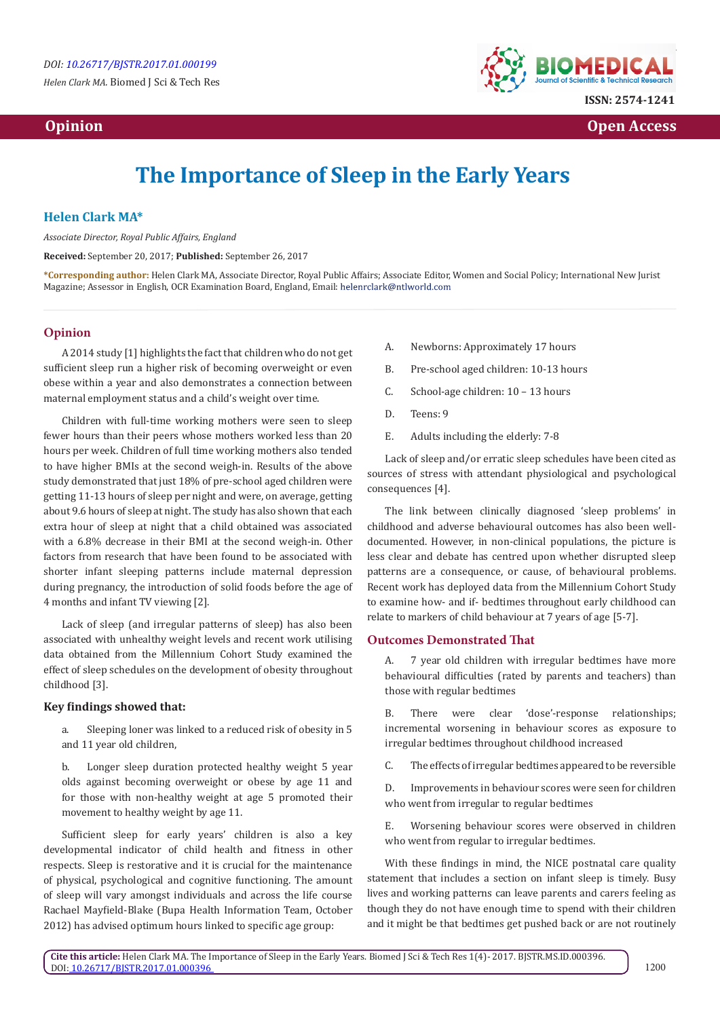*Helen Clark MA.* Biomed J Sci & Tech Res

## **Opinion Open Access Open Access**  *Open Access* **<b>** *Open Access*



# **The Importance of Sleep in the Early Years**

## **Helen Clark MA\***

*Associate Director, Royal Public Affairs, England*

**Received:** September 20, 2017; **Published:** September 26, 2017

**\*Corresponding author:** Helen Clark MA, Associate Director, Royal Public Affairs; Associate Editor, Women and Social Policy; International New Jurist Magazine; Assessor in English, OCR Examination Board, England, Email:

### **Opinion**

A 2014 study [1] highlights the fact that children who do not get sufficient sleep run a higher risk of becoming overweight or even obese within a year and also demonstrates a connection between maternal employment status and a child's weight over time.

Children with full-time working mothers were seen to sleep fewer hours than their peers whose mothers worked less than 20 hours per week. Children of full time working mothers also tended to have higher BMIs at the second weigh-in. Results of the above study demonstrated that just 18% of pre-school aged children were getting 11-13 hours of sleep per night and were, on average, getting about 9.6 hours of sleep at night. The study has also shown that each extra hour of sleep at night that a child obtained was associated with a 6.8% decrease in their BMI at the second weigh-in. Other factors from research that have been found to be associated with shorter infant sleeping patterns include maternal depression during pregnancy, the introduction of solid foods before the age of 4 months and infant TV viewing [2].

Lack of sleep (and irregular patterns of sleep) has also been associated with unhealthy weight levels and recent work utilising data obtained from the Millennium Cohort Study examined the effect of sleep schedules on the development of obesity throughout childhood [3].

#### **Key findings showed that:**

- a. Sleeping loner was linked to a reduced risk of obesity in 5 and 11 year old children,
- b. Longer sleep duration protected healthy weight 5 year olds against becoming overweight or obese by age 11 and for those with non-healthy weight at age 5 promoted their movement to healthy weight by age 11.

Sufficient sleep for early years' children is also a key developmental indicator of child health and fitness in other respects. Sleep is restorative and it is crucial for the maintenance of physical, psychological and cognitive functioning. The amount of sleep will vary amongst individuals and across the life course Rachael Mayfield-Blake (Bupa Health Information Team, October 2012) has advised optimum hours linked to specific age group:

- A. Newborns: Approximately 17 hours
- B. Pre-school aged children: 10-13 hours
- C. School-age children: 10 13 hours
- D. Teens: 9
- E. Adults including the elderly: 7-8

Lack of sleep and/or erratic sleep schedules have been cited as sources of stress with attendant physiological and psychological consequences [4].

The link between clinically diagnosed 'sleep problems' in childhood and adverse behavioural outcomes has also been welldocumented. However, in non-clinical populations, the picture is less clear and debate has centred upon whether disrupted sleep patterns are a consequence, or cause, of behavioural problems. Recent work has deployed data from the Millennium Cohort Study to examine how- and if- bedtimes throughout early childhood can relate to markers of child behaviour at 7 years of age [5-7].

#### **Outcomes Demonstrated That**

A. 7 year old children with irregular bedtimes have more behavioural difficulties (rated by parents and teachers) than those with regular bedtimes

B. There were clear 'dose'-response relationships; incremental worsening in behaviour scores as exposure to irregular bedtimes throughout childhood increased

C. The effects of irregular bedtimes appeared to be reversible

D. Improvements in behaviour scores were seen for children who went from irregular to regular bedtimes

E. Worsening behaviour scores were observed in children who went from regular to irregular bedtimes.

With these findings in mind, the NICE postnatal care quality statement that includes a section on infant sleep is timely. Busy lives and working patterns can leave parents and carers feeling as though they do not have enough time to spend with their children and it might be that bedtimes get pushed back or are not routinely

**Cite this article:** Helen Clark MA. The Importance of Sleep in the Early Years. Biomed J Sci & Tech Res 1(4)- 2017. BJSTR.MS.ID.000396. DOI[: 10.26717/BJSTR.2017.01.000396](http://dx.doi.org/10.26717/BJSTR.2017.01.000396)